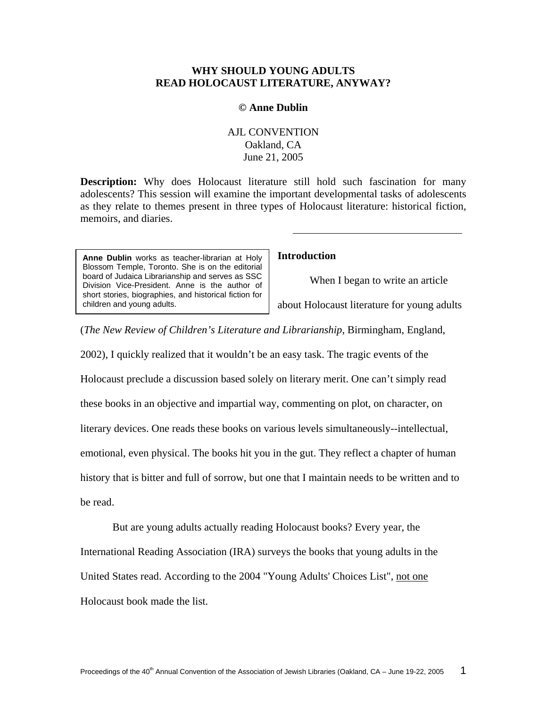# **WHY SHOULD YOUNG ADULTS READ HOLOCAUST LITERATURE, ANYWAY?**

## **© Anne Dublin**

# AJL CONVENTION Oakland, CA June 21, 2005

**Description:** Why does Holocaust literature still hold such fascination for many adolescents? This session will examine the important developmental tasks of adolescents as they relate to themes present in three types of Holocaust literature: historical fiction, memoirs, and diaries.

**Anne Dublin** works as teacher-librarian at Holy **Introduction** Blossom Temple, Toronto. She is on the editorial board of Judaica Librarianship and serves as SSC Division Vice-President. Anne is the author of short stories, biographies, and historical fiction for children and young adults.

When I began to write an article

about Holocaust literature for young adults

(*The New Review of Children's Literature and Librarianship*, Birmingham, England,

2002), I quickly realized that it wouldn't be an easy task. The tragic events of the

Holocaust preclude a discussion based solely on literary merit. One can't simply read

these books in an objective and impartial way, commenting on plot, on character, on

literary devices. One reads these books on various levels simultaneously--intellectual,

emotional, even physical. The books hit you in the gut. They reflect a chapter of human

history that is bitter and full of sorrow, but one that I maintain needs to be written and to

be read.

But are young adults actually reading Holocaust books? Every year, the International Reading Association (IRA) surveys the books that young adults in the United States read. According to the 2004 "Young Adults' Choices List", not one Holocaust book made the list.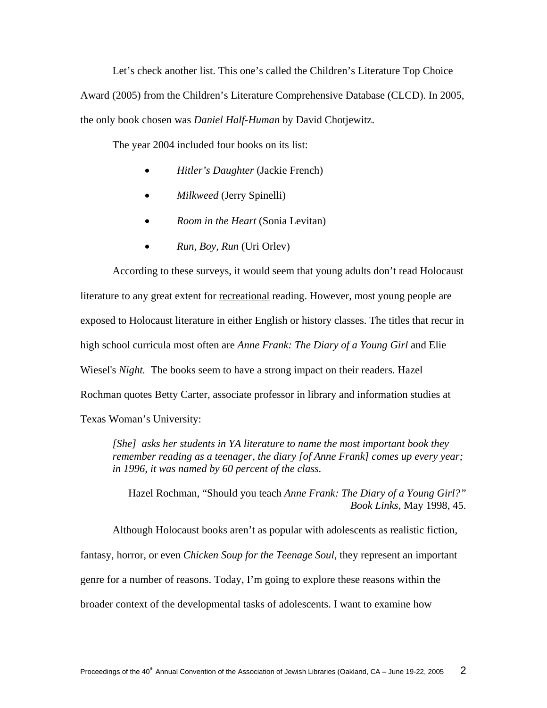Let's check another list. This one's called the Children's Literature Top Choice Award (2005) from the Children's Literature Comprehensive Database (CLCD). In 2005, the only book chosen was *Daniel Half-Human* by David Chotjewitz.

The year 2004 included four books on its list:

- *Hitler's Daughter* (Jackie French)
- *Milkweed* (Jerry Spinelli)
- *Room in the Heart* (Sonia Levitan)
- *Run, Boy, Run* (Uri Orlev)

According to these surveys, it would seem that young adults don't read Holocaust literature to any great extent for recreational reading. However, most young people are exposed to Holocaust literature in either English or history classes. The titles that recur in high school curricula most often are *Anne Frank: The Diary of a Young Girl* and Elie Wiesel's *Night.* The books seem to have a strong impact on their readers. Hazel Rochman quotes Betty Carter, associate professor in library and information studies at Texas Woman's University:

*[She] asks her students in YA literature to name the most important book they remember reading as a teenager, the diary [of Anne Frank] comes up every year; in 1996, it was named by 60 percent of the class.* 

Hazel Rochman, "Should you teach *Anne Frank: The Diary of a Young Girl?" Book Links,* May 1998, 45.

Although Holocaust books aren't as popular with adolescents as realistic fiction, fantasy, horror, or even *Chicken Soup for the Teenage Soul*, they represent an important genre for a number of reasons. Today, I'm going to explore these reasons within the broader context of the developmental tasks of adolescents. I want to examine how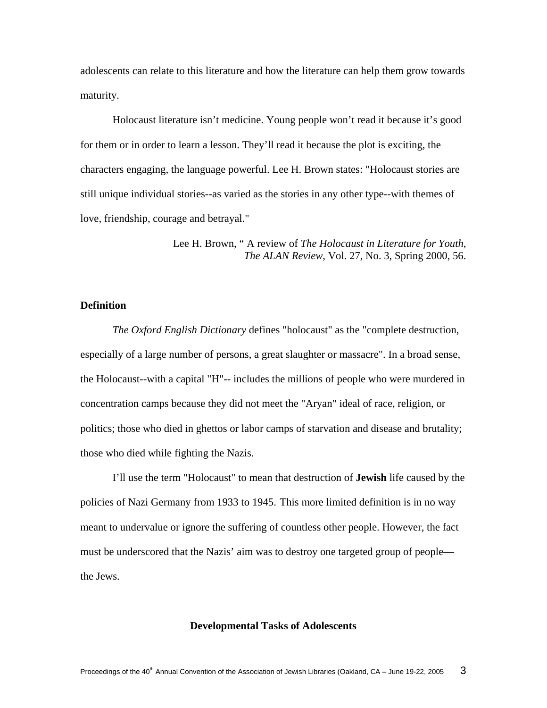adolescents can relate to this literature and how the literature can help them grow towards maturity.

Holocaust literature isn't medicine. Young people won't read it because it's good for them or in order to learn a lesson. They'll read it because the plot is exciting, the characters engaging, the language powerful. Lee H. Brown states: "Holocaust stories are still unique individual stories--as varied as the stories in any other type--with themes of love, friendship, courage and betrayal."

> Lee H. Brown, " A review of *The Holocaust in Literature for Youth*, *The ALAN Review*, Vol. 27, No. 3, Spring 2000, 56.

# **Definition**

*The Oxford English Dictionary* defines "holocaust" as the "complete destruction, especially of a large number of persons, a great slaughter or massacre". In a broad sense, the Holocaust--with a capital "H"-- includes the millions of people who were murdered in concentration camps because they did not meet the "Aryan" ideal of race, religion, or politics; those who died in ghettos or labor camps of starvation and disease and brutality; those who died while fighting the Nazis.

I'll use the term "Holocaust" to mean that destruction of **Jewish** life caused by the policies of Nazi Germany from 1933 to 1945. This more limited definition is in no way meant to undervalue or ignore the suffering of countless other people. However, the fact must be underscored that the Nazis' aim was to destroy one targeted group of people the Jews.

## **Developmental Tasks of Adolescents**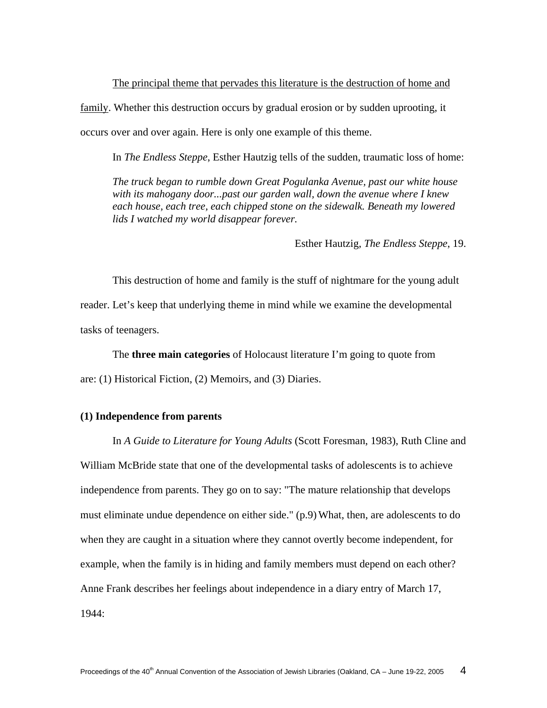The principal theme that pervades this literature is the destruction of home and family. Whether this destruction occurs by gradual erosion or by sudden uprooting, it occurs over and over again. Here is only one example of this theme.

In *The Endless Steppe*, Esther Hautzig tells of the sudden, traumatic loss of home:

*The truck began to rumble down Great Pogulanka Avenue, past our white house with its mahogany door...past our garden wall, down the avenue where I knew each house, each tree, each chipped stone on the sidewalk. Beneath my lowered lids I watched my world disappear forever.*

Esther Hautzig, *The Endless Steppe*, 19.

This destruction of home and family is the stuff of nightmare for the young adult reader. Let's keep that underlying theme in mind while we examine the developmental tasks of teenagers.

The **three main categories** of Holocaust literature I'm going to quote from are: (1) Historical Fiction, (2) Memoirs, and (3) Diaries.

## **(1) Independence from parents**

 In *A Guide to Literature for Young Adults* (Scott Foresman, 1983), Ruth Cline and William McBride state that one of the developmental tasks of adolescents is to achieve independence from parents. They go on to say: "The mature relationship that develops must eliminate undue dependence on either side." (p.9) What, then, are adolescents to do when they are caught in a situation where they cannot overtly become independent, for example, when the family is in hiding and family members must depend on each other? Anne Frank describes her feelings about independence in a diary entry of March 17, 1944: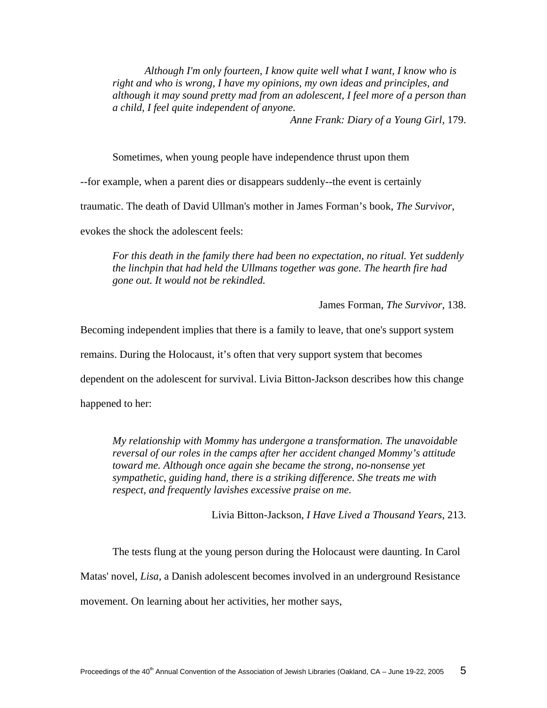*Although I'm only fourteen, I know quite well what I want, I know who is right and who is wrong, I have my opinions, my own ideas and principles, and although it may sound pretty mad from an adolescent, I feel more of a person than a child, I feel quite independent of anyone.* 

*Anne Frank: Diary of a Young Girl*, 179.

Sometimes, when young people have independence thrust upon them

--for example, when a parent dies or disappears suddenly--the event is certainly

traumatic. The death of David Ullman's mother in James Forman's book, *The Survivor*,

evokes the shock the adolescent feels:

*For this death in the family there had been no expectation, no ritual. Yet suddenly the linchpin that had held the Ullmans together was gone. The hearth fire had gone out. It would not be rekindled.* 

James Forman, *The Survivor*, 138.

Becoming independent implies that there is a family to leave, that one's support system remains. During the Holocaust, it's often that very support system that becomes dependent on the adolescent for survival. Livia Bitton-Jackson describes how this change happened to her:

*My relationship with Mommy has undergone a transformation. The unavoidable reversal of our roles in the camps after her accident changed Mommy's attitude toward me. Although once again she became the strong, no-nonsense yet sympathetic, guiding hand, there is a striking difference. She treats me with respect, and frequently lavishes excessive praise on me.* 

Livia Bitton-Jackson, *I Have Lived a Thousand Years*, 213.

The tests flung at the young person during the Holocaust were daunting. In Carol Matas' novel, *Lisa*, a Danish adolescent becomes involved in an underground Resistance movement. On learning about her activities, her mother says,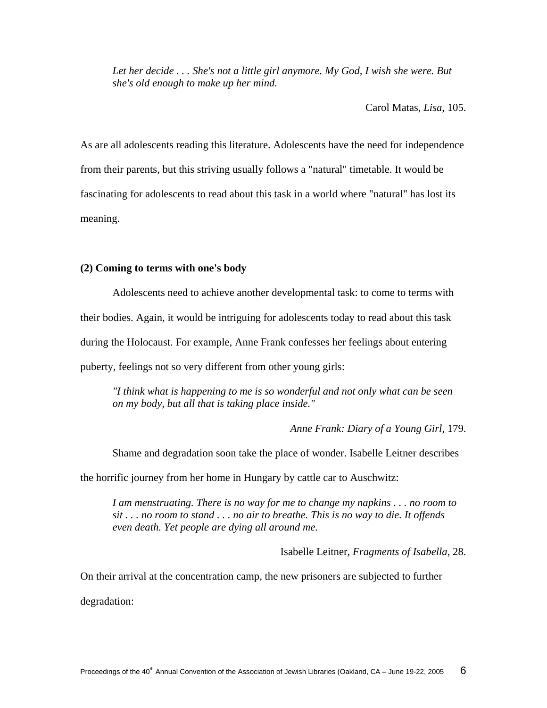*Let her decide . . . She's not a little girl anymore. My God, I wish she were. But she's old enough to make up her mind.* 

Carol Matas, *Lisa,* 105.

As are all adolescents reading this literature. Adolescents have the need for independence from their parents, but this striving usually follows a "natural" timetable. It would be fascinating for adolescents to read about this task in a world where "natural" has lost its meaning.

## **(2) Coming to terms with one's body**

Adolescents need to achieve another developmental task: to come to terms with their bodies. Again, it would be intriguing for adolescents today to read about this task during the Holocaust. For example, Anne Frank confesses her feelings about entering puberty, feelings not so very different from other young girls:

*"I think what is happening to me is so wonderful and not only what can be seen on my body, but all that is taking place inside."* 

*Anne Frank: Diary of a Young Girl*, 179.

Shame and degradation soon take the place of wonder. Isabelle Leitner describes

the horrific journey from her home in Hungary by cattle car to Auschwitz:

*I am menstruating. There is no way for me to change my napkins . . . no room to sit . . . no room to stand . . . no air to breathe. This is no way to die. It offends even death. Yet people are dying all around me.*

Isabelle Leitner, *Fragments of Isabella*, 28.

On their arrival at the concentration camp, the new prisoners are subjected to further degradation: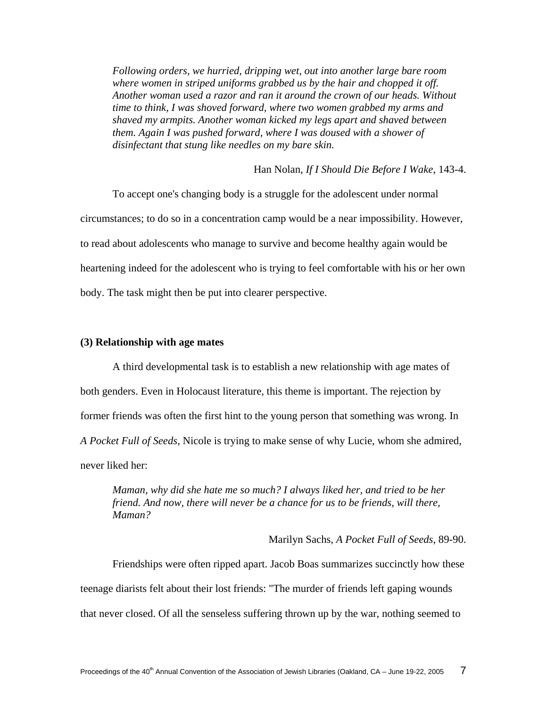*Following orders, we hurried, dripping wet, out into another large bare room where women in striped uniforms grabbed us by the hair and chopped it off. Another woman used a razor and ran it around the crown of our heads. Without time to think, I was shoved forward, where two women grabbed my arms and shaved my armpits. Another woman kicked my legs apart and shaved between them. Again I was pushed forward, where I was doused with a shower of disinfectant that stung like needles on my bare skin.*

Han Nolan, *If I Should Die Before I Wake*, 143-4.

To accept one's changing body is a struggle for the adolescent under normal circumstances; to do so in a concentration camp would be a near impossibility. However, to read about adolescents who manage to survive and become healthy again would be heartening indeed for the adolescent who is trying to feel comfortable with his or her own body. The task might then be put into clearer perspective.

#### **(3) Relationship with age mates**

A third developmental task is to establish a new relationship with age mates of both genders. Even in Holocaust literature, this theme is important. The rejection by former friends was often the first hint to the young person that something was wrong. In *A Pocket Full of Seeds*, Nicole is trying to make sense of why Lucie, whom she admired, never liked her:

*Maman, why did she hate me so much? I always liked her, and tried to be her friend. And now, there will never be a chance for us to be friends, will there, Maman?* 

Marilyn Sachs, *A Pocket Full of Seeds*, 89-90.

Friendships were often ripped apart. Jacob Boas summarizes succinctly how these teenage diarists felt about their lost friends: "The murder of friends left gaping wounds that never closed. Of all the senseless suffering thrown up by the war, nothing seemed to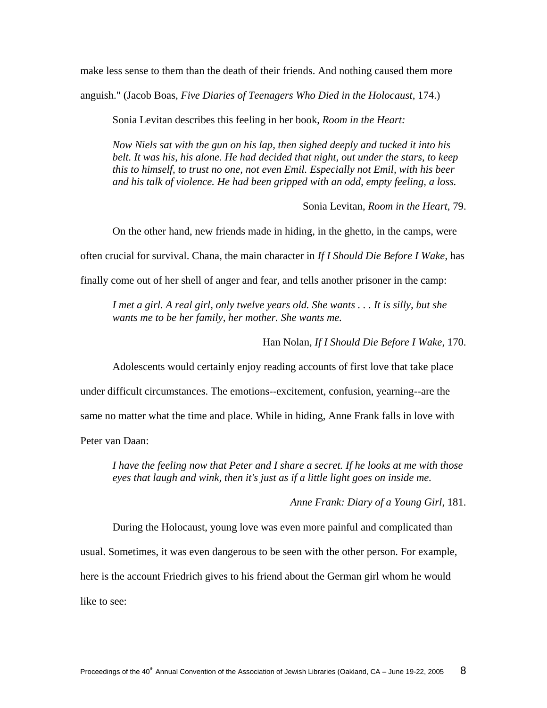make less sense to them than the death of their friends. And nothing caused them more anguish." (Jacob Boas, *Five Diaries of Teenagers Who Died in the Holocaust*, 174.)

Sonia Levitan describes this feeling in her book, *Room in the Heart:* 

*Now Niels sat with the gun on his lap, then sighed deeply and tucked it into his belt. It was his, his alone. He had decided that night, out under the stars, to keep this to himself, to trust no one, not even Emil. Especially not Emil, with his beer and his talk of violence. He had been gripped with an odd, empty feeling, a loss.* 

Sonia Levitan, *Room in the Heart*, 79.

On the other hand, new friends made in hiding, in the ghetto, in the camps, were

often crucial for survival. Chana, the main character in *If I Should Die Before I Wake*, has

finally come out of her shell of anger and fear, and tells another prisoner in the camp:

*I met a girl. A real girl, only twelve years old. She wants . . . It is silly, but she wants me to be her family, her mother. She wants me.* 

Han Nolan, *If I Should Die Before I Wake*, 170.

Adolescents would certainly enjoy reading accounts of first love that take place

under difficult circumstances. The emotions--excitement, confusion, yearning--are the

same no matter what the time and place. While in hiding, Anne Frank falls in love with

Peter van Daan:

*I have the feeling now that Peter and I share a secret. If he looks at me with those eyes that laugh and wink, then it's just as if a little light goes on inside me.*

*Anne Frank: Diary of a Young Girl*, 181.

During the Holocaust, young love was even more painful and complicated than usual. Sometimes, it was even dangerous to be seen with the other person. For example, here is the account Friedrich gives to his friend about the German girl whom he would like to see: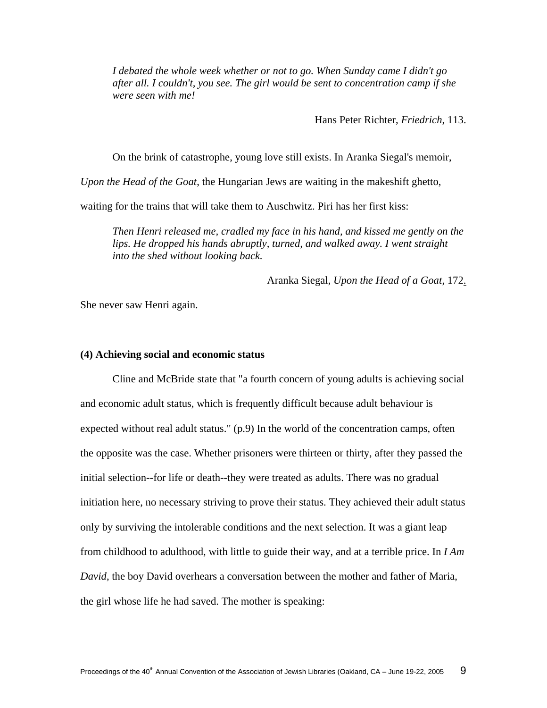*I debated the whole week whether or not to go. When Sunday came I didn't go after all. I couldn't, you see. The girl would be sent to concentration camp if she were seen with me!* 

Hans Peter Richter, *Friedrich*, 113.

On the brink of catastrophe, young love still exists. In Aranka Siegal's memoir,

*Upon the Head of the Goat*, the Hungarian Jews are waiting in the makeshift ghetto,

waiting for the trains that will take them to Auschwitz. Piri has her first kiss:

*Then Henri released me, cradled my face in his hand, and kissed me gently on the lips. He dropped his hands abruptly, turned, and walked away. I went straight into the shed without looking back.*

Aranka Siegal, *Upon the Head of a Goat*, 172.

She never saw Henri again.

## **(4) Achieving social and economic status**

Cline and McBride state that "a fourth concern of young adults is achieving social and economic adult status, which is frequently difficult because adult behaviour is expected without real adult status." (p.9) In the world of the concentration camps, often the opposite was the case. Whether prisoners were thirteen or thirty, after they passed the initial selection--for life or death--they were treated as adults. There was no gradual initiation here, no necessary striving to prove their status. They achieved their adult status only by surviving the intolerable conditions and the next selection. It was a giant leap from childhood to adulthood, with little to guide their way, and at a terrible price. In *I Am David*, the boy David overhears a conversation between the mother and father of Maria, the girl whose life he had saved. The mother is speaking: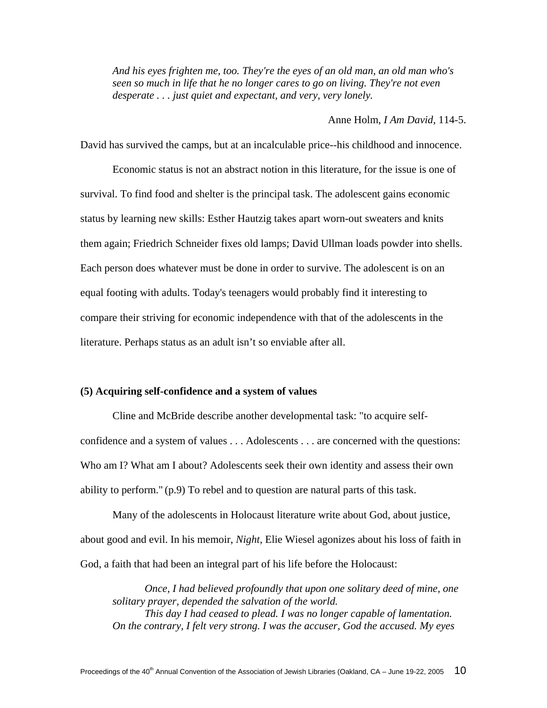*And his eyes frighten me, too. They're the eyes of an old man, an old man who's seen so much in life that he no longer cares to go on living. They're not even desperate . . . just quiet and expectant, and very, very lonely.* 

#### Anne Holm, *I Am David*, 114-5.

David has survived the camps, but at an incalculable price--his childhood and innocence.

Economic status is not an abstract notion in this literature, for the issue is one of survival. To find food and shelter is the principal task. The adolescent gains economic status by learning new skills: Esther Hautzig takes apart worn-out sweaters and knits them again; Friedrich Schneider fixes old lamps; David Ullman loads powder into shells. Each person does whatever must be done in order to survive. The adolescent is on an equal footing with adults. Today's teenagers would probably find it interesting to compare their striving for economic independence with that of the adolescents in the literature. Perhaps status as an adult isn't so enviable after all.

#### **(5) Acquiring self-confidence and a system of values**

Cline and McBride describe another developmental task: "to acquire selfconfidence and a system of values . . . Adolescents . . . are concerned with the questions: Who am I? What am I about? Adolescents seek their own identity and assess their own ability to perform." (p.9) To rebel and to question are natural parts of this task.

Many of the adolescents in Holocaust literature write about God, about justice, about good and evil. In his memoir, *Night*, Elie Wiesel agonizes about his loss of faith in God, a faith that had been an integral part of his life before the Holocaust:

*Once, I had believed profoundly that upon one solitary deed of mine, one solitary prayer, depended the salvation of the world. This day I had ceased to plead. I was no longer capable of lamentation. On the contrary, I felt very strong. I was the accuser, God the accused. My eyes*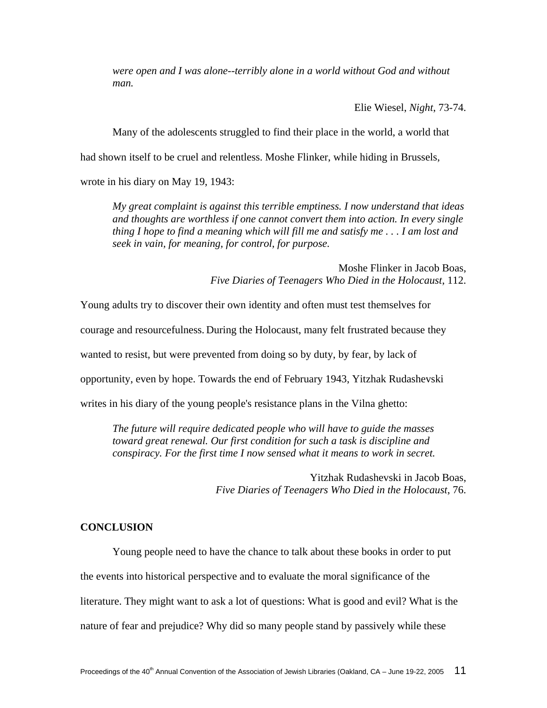*were open and I was alone--terribly alone in a world without God and without man.* 

Elie Wiesel, *Night*, 73-74.

Many of the adolescents struggled to find their place in the world, a world that had shown itself to be cruel and relentless. Moshe Flinker, while hiding in Brussels, wrote in his diary on May 19, 1943:

*My great complaint is against this terrible emptiness. I now understand that ideas and thoughts are worthless if one cannot convert them into action. In every single thing I hope to find a meaning which will fill me and satisfy me . . . I am lost and seek in vain, for meaning, for control, for purpose.* 

> Moshe Flinker in Jacob Boas, *Five Diaries of Teenagers Who Died in the Holocaust*, 112.

Young adults try to discover their own identity and often must test themselves for courage and resourcefulness. During the Holocaust, many felt frustrated because they wanted to resist, but were prevented from doing so by duty, by fear, by lack of opportunity, even by hope. Towards the end of February 1943, Yitzhak Rudashevski writes in his diary of the young people's resistance plans in the Vilna ghetto:

*The future will require dedicated people who will have to guide the masses toward great renewal. Our first condition for such a task is discipline and conspiracy. For the first time I now sensed what it means to work in secret.* 

> Yitzhak Rudashevski in Jacob Boas, *Five Diaries of Teenagers Who Died in the Holocaust*, 76.

## **CONCLUSION**

Young people need to have the chance to talk about these books in order to put the events into historical perspective and to evaluate the moral significance of the literature. They might want to ask a lot of questions: What is good and evil? What is the nature of fear and prejudice? Why did so many people stand by passively while these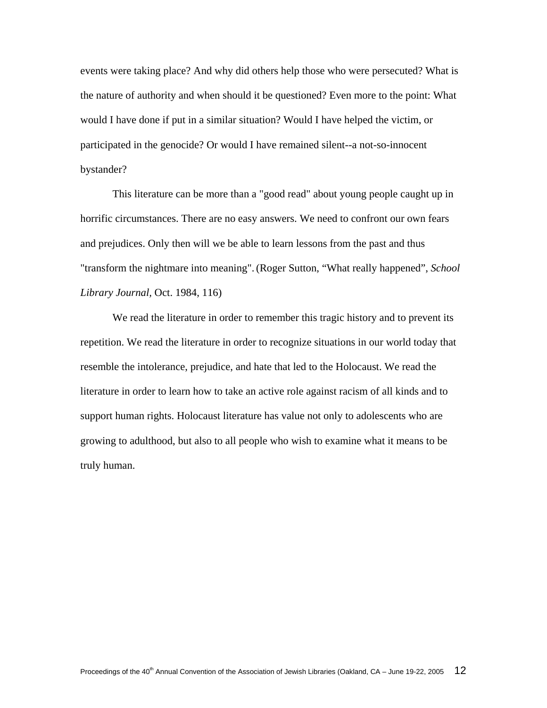events were taking place? And why did others help those who were persecuted? What is the nature of authority and when should it be questioned? Even more to the point: What would I have done if put in a similar situation? Would I have helped the victim, or participated in the genocide? Or would I have remained silent--a not-so-innocent bystander?

This literature can be more than a "good read" about young people caught up in horrific circumstances. There are no easy answers. We need to confront our own fears and prejudices. Only then will we be able to learn lessons from the past and thus "transform the nightmare into meaning".(Roger Sutton, "What really happened", *School Library Journal,* Oct. 1984, 116)

We read the literature in order to remember this tragic history and to prevent its repetition. We read the literature in order to recognize situations in our world today that resemble the intolerance, prejudice, and hate that led to the Holocaust. We read the literature in order to learn how to take an active role against racism of all kinds and to support human rights. Holocaust literature has value not only to adolescents who are growing to adulthood, but also to all people who wish to examine what it means to be truly human.